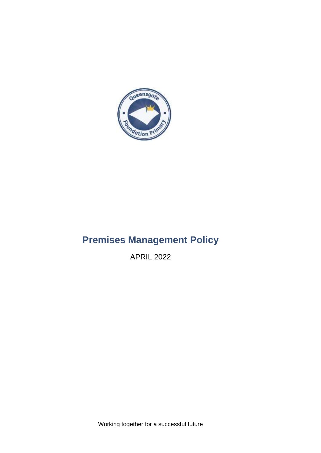

# **Premises Management Policy**

APRIL 2022

Working together for a successful future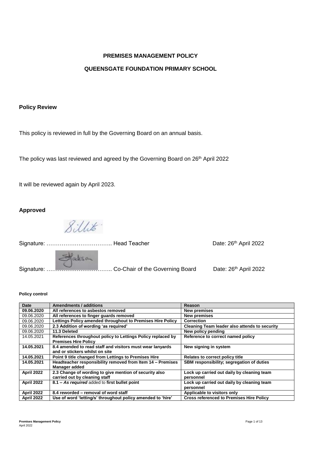#### **PREMISES MANAGEMENT POLICY**

#### **QUEENSGATE FOUNDATION PRIMARY SCHOOL**

#### **Policy Review**

This policy is reviewed in full by the Governing Board on an annual basis.

The policy was last reviewed and agreed by the Governing Board on 26<sup>th</sup> April 2022

It will be reviewed again by April 2023.

**Approved** 

8 illito

Signature: …………………………….. Head Teacher Date: 26th April 2022 Staksan Signature: …………………………….. Co-Chair of the Governing Board Date: 26th April 2022

#### **Policy control**

| Date       | <b>Amendments / additions</b>                               | <b>Reason</b>                                   |
|------------|-------------------------------------------------------------|-------------------------------------------------|
| 09.06.2020 | All references to asbestos removed                          | <b>New premises</b>                             |
| 09.06.2020 | All references to finger guards removed                     | <b>New premises</b>                             |
| 09.06.2020 | Lettings Policy amended throughout to Premises Hire Policy  | Correction                                      |
| 09.06.2020 | 2.3 Addition of wording 'as required'                       | Cleaning Team leader also attends to security   |
| 09.06.2020 | 11.3 Deleted                                                | New policy pending                              |
| 14.05.2021 | References throughout policy to Lettings Policy replaced by | Reference to correct named policy               |
|            | <b>Premises Hire Policy</b>                                 |                                                 |
| 14.05.2021 | 8.4 amended to read staff and visitors must wear lanyards   | New signing in system                           |
|            | and or stickers whilst on site                              |                                                 |
| 14.05.2021 | Point 9 title changed from Lettings to Premises Hire        | Relates to correct policy title                 |
| 14.05.2021 | Headteacher responsibility removed from Item 14 - Premises  | SBM responsibility; segregation of duties       |
|            | Manager added                                               |                                                 |
| April 2022 | 2.3 Change of wording to give mention of security also      | Lock up carried out daily by cleaning team      |
|            | carried out by cleaning staff                               | personnel                                       |
| April 2022 | 8.1 - As required added to first bullet point               | Lock up carried out daily by cleaning team      |
|            |                                                             | personnel                                       |
| April 2022 | 8.4 reworded – removal of word staff                        | Applicable to visitors only                     |
| April 2022 | Use of word 'letting/s' throughout policy amended to 'hire' | <b>Cross referenced to Premises Hire Policy</b> |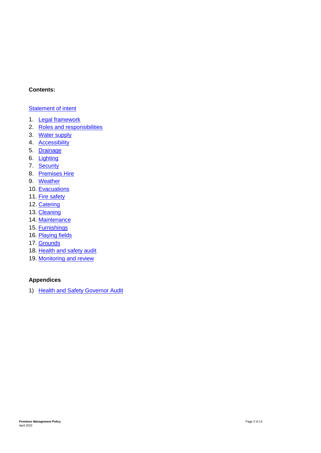#### **Contents:**

#### [Statement of intent](#page-3-0)

- 1. Legal framework
- 2. Roles and responsibilities
- 3. Water supply
- 4. [Accessibility](#page-5-0)
- 5. [Drainage](#page-5-1)
- 6. [Lighting](#page-5-2)
- 7. [Security](#page-5-3)
- 8. [Premises](#page-6-0) Hire
- 9. [Weather](#page-6-1)
- 10. Evacuations
- 11. [Fire safety](#page-6-2)
- 12. [Catering](#page-7-0)
- 13. Cleaning
- 14. [Maintenance](#page-7-1)
- 15. [Furnishings](#page-7-2)
- 16. [Playing fields](#page-7-3)
- 17. [Grounds](#page-7-4)
- 18. [Health and safety audit](#page-7-5)
- 19. [Monitoring and review](#page-7-6)

# **Appendices**

1) [Health and Safety Governor Audit](#page-9-0)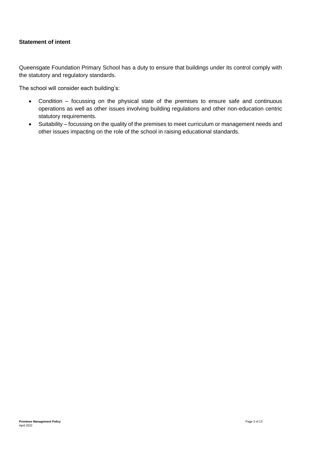# <span id="page-3-0"></span>**Statement of intent**

Queensgate Foundation Primary School has a duty to ensure that buildings under its control comply with the statutory and regulatory standards.

The school will consider each building's:

- Condition focussing on the physical state of the premises to ensure safe and continuous operations as well as other issues involving building regulations and other non-education centric statutory requirements.
- Suitability focussing on the quality of the premises to meet curriculum or management needs and other issues impacting on the role of the school in raising educational standards.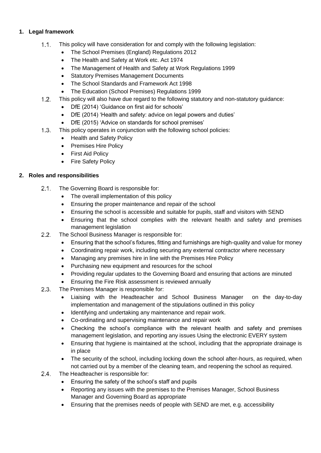# <span id="page-4-0"></span>**1. Legal framework**

 $1.3.$ 

- $1.1.$ This policy will have consideration for and comply with the following legislation:
	- The School Premises (England) Regulations 2012
	- The Health and Safety at Work etc. Act 1974
	- The Management of Health and Safety at Work Regulations 1999
	- Statutory Premises Management Documents
	- The School Standards and Framework Act 1998
	- The Education (School Premises) Regulations 1999
- $1.2.$ This policy will also have due regard to the following statutory and non-statutory guidance:
	- DfE (2014) 'Guidance on first aid for schools'
	- DfE (2014) 'Health and safety: advice on legal powers and duties'
	- DfE (2015) 'Advice on standards for school premises'
	- This policy operates in conjunction with the following school policies:
	- Health and Safety Policy
	- Premises Hire Policy
	- First Aid Policy
	- Fire Safety Policy

# **2. Roles and responsibilities**

- $2.1.$ The Governing Board is responsible for:
	- The overall implementation of this policy
	- Ensuring the proper maintenance and repair of the school
	- Ensuring the school is accessible and suitable for pupils, staff and visitors with SEND
	- Ensuring that the school complies with the relevant health and safety and premises management legislation
- $2.2.$ The School Business Manager is responsible for:
	- Ensuring that the school's fixtures, fitting and furnishings are high-quality and value for money
	- Coordinating repair work, including securing any external contractor where necessary
	- Managing any premises hire in line with the Premises Hire Policy
	- Purchasing new equipment and resources for the school
	- Providing regular updates to the Governing Board and ensuring that actions are minuted
	- Ensuring the Fire Risk assessment is reviewed annually
- $2.3.$ The Premises Manager is responsible for:
	- Liaising with the Headteacher and School Business Manager on the day-to-day implementation and management of the stipulations outlined in this policy
	- Identifying and undertaking any maintenance and repair work.
	- Co-ordinating and supervising maintenance and repair work
	- Checking the school's compliance with the relevant health and safety and premises management legislation, and reporting any issues Using the electronic EVERY system
	- Ensuring that hygiene is maintained at the school, including that the appropriate drainage is in place
	- The security of the school, including locking down the school after-hours, as required, when not carried out by a member of the cleaning team, and reopening the school as required.
- $2.4.$ The Headteacher is responsible for:
	- Ensuring the safety of the school's staff and pupils
	- Reporting any issues with the premises to the Premises Manager, School Business Manager and Governing Board as appropriate
	- Ensuring that the premises needs of people with SEND are met, e.g. accessibility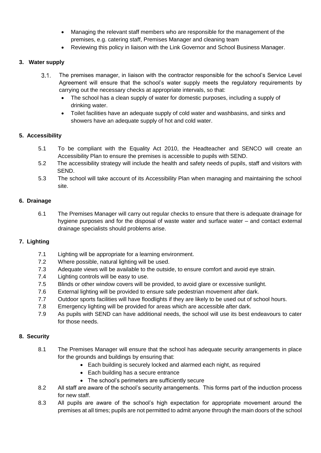- Managing the relevant staff members who are responsible for the management of the premises, e.g. catering staff, Premises Manager and cleaning team
- Reviewing this policy in liaison with the Link Governor and School Business Manager.

# **3. Water supply**

- $3.1 -$ The premises manager, in liaison with the contractor responsible for the school's Service Level Agreement will ensure that the school's water supply meets the regulatory requirements by carrying out the necessary checks at appropriate intervals, so that:
	- The school has a clean supply of water for domestic purposes, including a supply of drinking water.
	- Toilet facilities have an adequate supply of cold water and washbasins, and sinks and showers have an adequate supply of hot and cold water.

# <span id="page-5-0"></span>**5. Accessibility**

- 5.1 To be compliant with the Equality Act 2010, the Headteacher and SENCO will create an Accessibility Plan to ensure the premises is accessible to pupils with SEND.
- 5.2 The accessibility strategy will include the health and safety needs of pupils, staff and visitors with SEND.
- 5.3 The school will take account of its Accessibility Plan when managing and maintaining the school site.

# <span id="page-5-1"></span>**6. Drainage**

6.1 The Premises Manager will carry out regular checks to ensure that there is adequate drainage for hygiene purposes and for the disposal of waste water and surface water – and contact external drainage specialists should problems arise.

# <span id="page-5-2"></span>**7. Lighting**

- 7.1 Lighting will be appropriate for a learning environment.
- 7.2 Where possible, natural lighting will be used.
- 7.3 Adequate views will be available to the outside, to ensure comfort and avoid eye strain.
- 7.4 Lighting controls will be easy to use.
- 7.5 Blinds or other window covers will be provided, to avoid glare or excessive sunlight.
- 7.6 External lighting will be provided to ensure safe pedestrian movement after dark.
- 7.7 Outdoor sports facilities will have floodlights if they are likely to be used out of school hours.
- 7.8 Emergency lighting will be provided for areas which are accessible after dark.
- 7.9 As pupils with SEND can have additional needs, the school will use its best endeavours to cater for those needs.

# <span id="page-5-3"></span>**8. Security**

- 8.1 The Premises Manager will ensure that the school has adequate security arrangements in place for the grounds and buildings by ensuring that:
	- Each building is securely locked and alarmed each night, as required
	- Each building has a secure entrance
	- The school's perimeters are sufficiently secure
- 8.2 All staff are aware of the school's security arrangements. This forms part of the induction process for new staff.
- 8.3 All pupils are aware of the school's high expectation for appropriate movement around the premises at all times; pupils are not permitted to admit anyone through the main doors of the school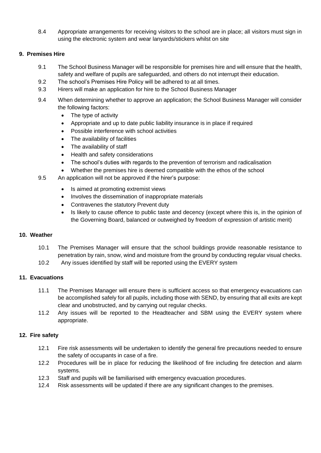8.4 Appropriate arrangements for receiving visitors to the school are in place; all visitors must sign in using the electronic system and wear lanyards/stickers whilst on site

# <span id="page-6-0"></span>**9. Premises Hire**

- 9.1 The School Business Manager will be responsible for premises hire and will ensure that the health, safety and welfare of pupils are safeguarded, and others do not interrupt their education.
- 9.2 The school's Premises Hire Policy will be adhered to at all times.
- 9.3 Hirers will make an application for hire to the School Business Manager
- 9.4 When determining whether to approve an application; the School Business Manager will consider the following factors:
	- The type of activity
	- Appropriate and up to date public liability insurance is in place if required
	- Possible interference with school activities
	- The availability of facilities
	- The availability of staff
	- Health and safety considerations
	- The school's duties with regards to the prevention of terrorism and radicalisation
	- Whether the premises hire is deemed compatible with the ethos of the school
- 9.5 An application will not be approved if the hirer's purpose:
	- Is aimed at promoting extremist views
	- Involves the dissemination of inappropriate materials
	- Contravenes the statutory Prevent duty
	- Is likely to cause offence to public taste and decency (except where this is, in the opinion of the Governing Board, balanced or outweighed by freedom of expression of artistic merit)

# <span id="page-6-1"></span>**10. Weather**

- 10.1 The Premises Manager will ensure that the school buildings provide reasonable resistance to penetration by rain, snow, wind and moisture from the ground by conducting regular visual checks.
- 10.2 Any issues identified by staff will be reported using the EVERY system

# **11. Evacuations**

- 11.1 The Premises Manager will ensure there is sufficient access so that emergency evacuations can be accomplished safely for all pupils, including those with SEND, by ensuring that all exits are kept clear and unobstructed, and by carrying out regular checks.
- 11.2 Any issues will be reported to the Headteacher and SBM using the EVERY system where appropriate.

# <span id="page-6-2"></span>**12. Fire safety**

- 12.1 Fire risk assessments will be undertaken to identify the general fire precautions needed to ensure the safety of occupants in case of a fire.
- 12.2 Procedures will be in place for reducing the likelihood of fire including fire detection and alarm systems.
- 12.3 Staff and pupils will be familiarised with emergency evacuation procedures.
- 12.4 Risk assessments will be updated if there are any significant changes to the premises.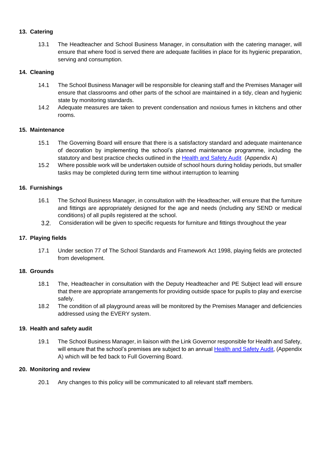#### <span id="page-7-0"></span>**13. Catering**

13.1 The Headteacher and School Business Manager, in consultation with the catering manager, will ensure that where food is served there are adequate facilities in place for its hygienic preparation, serving and consumption.

#### **14. Cleaning**

- 14.1 The School Business Manager will be responsible for cleaning staff and the Premises Manager will ensure that classrooms and other parts of the school are maintained in a tidy, clean and hygienic state by monitoring standards.
- 14.2 Adequate measures are taken to prevent condensation and noxious fumes in kitchens and other rooms.

#### <span id="page-7-1"></span>**15. Maintenance**

- 15.1 The Governing Board will ensure that there is a satisfactory standard and adequate maintenance of decoration by implementing the school's planned maintenance programme, including the statutory and best practice checks outlined in the [Health and Safety Audit](#page-9-0) (Appendix A)
- 15.2 Where possible work will be undertaken outside of school hours during holiday periods, but smaller tasks may be completed during term time without interruption to learning

#### <span id="page-7-2"></span>**16. Furnishings**

- 16.1 The School Business Manager, in consultation with the Headteacher, will ensure that the furniture and fittings are appropriately designed for the age and needs (including any SEND or medical conditions) of all pupils registered at the school.
- $3.2.$ Consideration will be given to specific requests for furniture and fittings throughout the year

# <span id="page-7-3"></span>**17. Playing fields**

17.1 Under section 77 of The School Standards and Framework Act 1998, playing fields are protected from development.

#### <span id="page-7-4"></span>**18. Grounds**

- 18.1 The, Headteacher in consultation with the Deputy Headteacher and PE Subject lead will ensure that there are appropriate arrangements for providing outside space for pupils to play and exercise safely.
- 18.2 The condition of all playground areas will be monitored by the Premises Manager and deficiencies addressed using the EVERY system.

#### <span id="page-7-5"></span>**19. Health and safety audit**

19.1 The School Business Manager, in liaison with the Link Governor responsible for Health and Safety, will ensure that the school's premises are subject to an annual [Health and Safety Audit,](#page-9-0) (Appendix A) which will be fed back to Full Governing Board.

#### <span id="page-7-6"></span>**20. Monitoring and review**

20.1 Any changes to this policy will be communicated to all relevant staff members.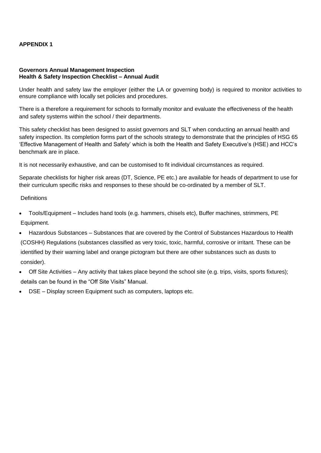# **APPENDIX 1**

#### **Governors Annual Management Inspection Health & Safety Inspection Checklist – Annual Audit**

Under health and safety law the employer (either the LA or governing body) is required to monitor activities to ensure compliance with locally set policies and procedures.

There is a therefore a requirement for schools to formally monitor and evaluate the effectiveness of the health and safety systems within the school / their departments.

This safety checklist has been designed to assist governors and SLT when conducting an annual health and safety inspection. Its completion forms part of the schools strategy to demonstrate that the principles of HSG 65 'Effective Management of Health and Safety' which is both the Health and Safety Executive's (HSE) and HCC's benchmark are in place.

It is not necessarily exhaustive, and can be customised to fit individual circumstances as required.

Separate checklists for higher risk areas (DT, Science, PE etc.) are available for heads of department to use for their curriculum specific risks and responses to these should be co-ordinated by a member of SLT.

#### **Definitions**

- Tools/Equipment Includes hand tools (e.g. hammers, chisels etc), Buffer machines, strimmers, PE Equipment.
- Hazardous Substances Substances that are covered by the Control of Substances Hazardous to Health (COSHH) Regulations (substances classified as very toxic, toxic, harmful, corrosive or irritant. These can be identified by their warning label and orange pictogram but there are other substances such as dusts to consider).
- Off Site Activities Any activity that takes place beyond the school site (e.g. trips, visits, sports fixtures); details can be found in the "Off Site Visits" Manual.
- DSE Display screen Equipment such as computers, laptops etc.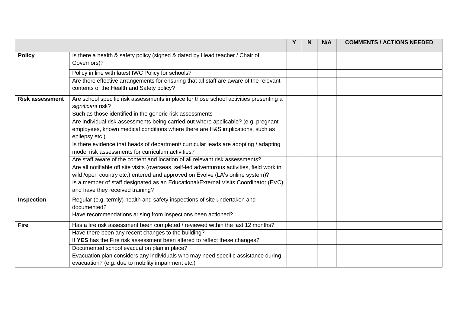<span id="page-9-0"></span>

|                        |                                                                                                                                                                                       | N | N/A | <b>COMMENTS / ACTIONS NEEDED</b> |
|------------------------|---------------------------------------------------------------------------------------------------------------------------------------------------------------------------------------|---|-----|----------------------------------|
| <b>Policy</b>          | Is there a health & safety policy (signed & dated by Head teacher / Chair of<br>Governors)?                                                                                           |   |     |                                  |
|                        | Policy in line with latest IWC Policy for schools?                                                                                                                                    |   |     |                                  |
|                        | Are there effective arrangements for ensuring that all staff are aware of the relevant<br>contents of the Health and Safety policy?                                                   |   |     |                                  |
| <b>Risk assessment</b> | Are school specific risk assessments in place for those school activities presenting a<br>significant risk?<br>Such as those identified in the generic risk assessments               |   |     |                                  |
|                        | Are individual risk assessments being carried out where applicable? (e.g. pregnant<br>employees, known medical conditions where there are H&S implications, such as<br>epilepsy etc.) |   |     |                                  |
|                        | Is there evidence that heads of department/curricular leads are adopting / adapting<br>model risk assessments for curriculum activities?                                              |   |     |                                  |
|                        | Are staff aware of the content and location of all relevant risk assessments?                                                                                                         |   |     |                                  |
|                        | Are all notifiable off site visits (overseas, self-led adventurous activities, field work in<br>wild /open country etc.) entered and approved on Evolve (LA's online system)?         |   |     |                                  |
|                        | Is a member of staff designated as an Educational/External Visits Coordinator (EVC)<br>and have they received training?                                                               |   |     |                                  |
| Inspection             | Regular (e.g. termly) health and safety inspections of site undertaken and<br>documented?<br>Have recommendations arising from inspections been actioned?                             |   |     |                                  |
| <b>Fire</b>            | Has a fire risk assessment been completed / reviewed within the last 12 months?                                                                                                       |   |     |                                  |
|                        | Have there been any recent changes to the building?                                                                                                                                   |   |     |                                  |
|                        | If YES has the Fire risk assessment been altered to reflect these changes?                                                                                                            |   |     |                                  |
|                        | Documented school evacuation plan in place?                                                                                                                                           |   |     |                                  |
|                        | Evacuation plan considers any individuals who may need specific assistance during<br>evacuation? (e.g. due to mobility impairment etc.)                                               |   |     |                                  |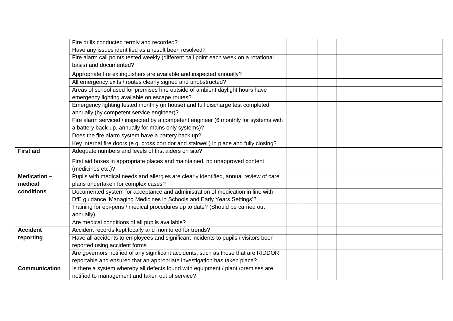|                      | Fire drills conducted termly and recorded?                                                                                  |  |  |  |
|----------------------|-----------------------------------------------------------------------------------------------------------------------------|--|--|--|
|                      | Have any issues identified as a result been resolved?                                                                       |  |  |  |
|                      | Fire alarm call points tested weekly (different call point each week on a rotational                                        |  |  |  |
|                      | basis) and documented?                                                                                                      |  |  |  |
|                      | Appropriate fire extinguishers are available and inspected annually?                                                        |  |  |  |
|                      | All emergency exits / routes clearly signed and unobstructed?                                                               |  |  |  |
|                      | Areas of school used for premises hire outside of ambient daylight hours have                                               |  |  |  |
|                      | emergency lighting available on escape routes?                                                                              |  |  |  |
|                      | Emergency lighting tested monthly (in house) and full discharge test completed<br>annually (by competent service engineer)? |  |  |  |
|                      | Fire alarm serviced / inspected by a competent engineer (6 monthly for systems with                                         |  |  |  |
|                      | a battery back-up, annually for mains only systems)?                                                                        |  |  |  |
|                      | Does the fire alarm system have a battery back up?                                                                          |  |  |  |
|                      | Key internal fire doors (e.g. cross corridor and stairwell) in place and fully closing?                                     |  |  |  |
| <b>First aid</b>     | Adequate numbers and levels of first aiders on site?                                                                        |  |  |  |
|                      | First aid boxes in appropriate places and maintained, no unapproved content                                                 |  |  |  |
|                      | (medicines etc.)?                                                                                                           |  |  |  |
| <b>Medication -</b>  | Pupils with medical needs and allergies are clearly identified, annual review of care                                       |  |  |  |
| medical              | plans undertaken for complex cases?                                                                                         |  |  |  |
| conditions           | Documented system for acceptance and administration of medication in line with                                              |  |  |  |
|                      | DfE guidance 'Managing Medicines in Schools and Early Years Settings'?                                                      |  |  |  |
|                      | Training for epi-pens / medical procedures up to date? (Should be carried out                                               |  |  |  |
|                      | annually)                                                                                                                   |  |  |  |
|                      | Are medical conditions of all pupils available?                                                                             |  |  |  |
| <b>Accident</b>      | Accident records kept locally and monitored for trends?                                                                     |  |  |  |
| reporting            | Have all accidents to employees and significant incidents to pupils / visitors been                                         |  |  |  |
|                      | reported using accident forms                                                                                               |  |  |  |
|                      | Are governors notified of any significant accidents, such as those that are RIDDOR                                          |  |  |  |
|                      | reportable and ensured that an appropriate investigation has taken place?                                                   |  |  |  |
| <b>Communication</b> | Is there a system whereby all defects found with equipment / plant /premises are                                            |  |  |  |
|                      | notified to management and taken out of service?                                                                            |  |  |  |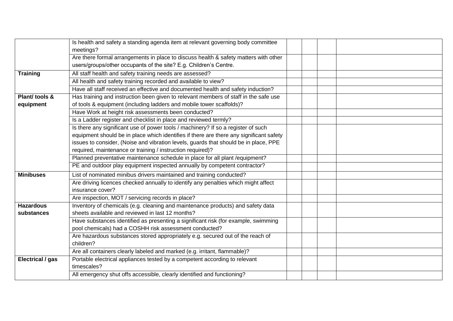|                  | Is health and safety a standing agenda item at relevant governing body committee        |  |  |  |
|------------------|-----------------------------------------------------------------------------------------|--|--|--|
|                  | meetings?                                                                               |  |  |  |
|                  | Are there formal arrangements in place to discuss health & safety matters with other    |  |  |  |
|                  | users/groups/other occupants of the site? E.g. Children's Centre.                       |  |  |  |
| <b>Training</b>  | All staff health and safety training needs are assessed?                                |  |  |  |
|                  | All health and safety training recorded and available to view?                          |  |  |  |
|                  | Have all staff received an effective and documented health and safety induction?        |  |  |  |
| Plant/ tools &   | Has training and instruction been given to relevant members of staff in the safe use    |  |  |  |
| equipment        | of tools & equipment (including ladders and mobile tower scaffolds)?                    |  |  |  |
|                  | Have Work at height risk assessments been conducted?                                    |  |  |  |
|                  | Is a Ladder register and checklist in place and reviewed termly?                        |  |  |  |
|                  | Is there any significant use of power tools / machinery? If so a register of such       |  |  |  |
|                  | equipment should be in place which identifies if there are there any significant safety |  |  |  |
|                  | issues to consider, (Noise and vibration levels, guards that should be in place, PPE    |  |  |  |
|                  | required, maintenance or training / instruction required)?                              |  |  |  |
|                  | Planned preventative maintenance schedule in place for all plant /equipment?            |  |  |  |
|                  | PE and outdoor play equipment inspected annually by competent contractor?               |  |  |  |
| <b>Minibuses</b> | List of nominated minibus drivers maintained and training conducted?                    |  |  |  |
|                  | Are driving licences checked annually to identify any penalties which might affect      |  |  |  |
|                  | insurance cover?                                                                        |  |  |  |
|                  | Are inspection, MOT / servicing records in place?                                       |  |  |  |
| <b>Hazardous</b> | Inventory of chemicals (e.g. cleaning and maintenance products) and safety data         |  |  |  |
| substances       | sheets available and reviewed in last 12 months?                                        |  |  |  |
|                  | Have substances identified as presenting a significant risk (for example, swimming      |  |  |  |
|                  | pool chemicals) had a COSHH risk assessment conducted?                                  |  |  |  |
|                  | Are hazardous substances stored appropriately e.g. secured out of the reach of          |  |  |  |
|                  | children?                                                                               |  |  |  |
|                  | Are all containers clearly labeled and marked (e.g. irritant, flammable)?               |  |  |  |
| Electrical / gas | Portable electrical appliances tested by a competent according to relevant              |  |  |  |
|                  | timescales?                                                                             |  |  |  |
|                  | All emergency shut offs accessible, clearly identified and functioning?                 |  |  |  |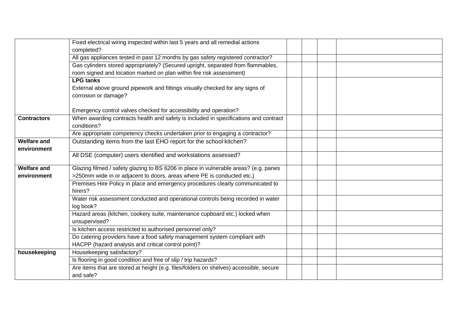|                    | Fixed electrical wiring inspected within last 5 years and all remedial actions         |  |  |  |
|--------------------|----------------------------------------------------------------------------------------|--|--|--|
|                    | completed?                                                                             |  |  |  |
|                    | All gas appliances tested in past 12 months by gas safety registered contractor?       |  |  |  |
|                    | Gas cylinders stored appropriately? (Secured upright, separated from flammables,       |  |  |  |
|                    | room signed and location marked on plan within fire risk assessment)                   |  |  |  |
|                    | <b>LPG tanks</b>                                                                       |  |  |  |
|                    | External above ground pipework and fittings visually checked for any signs of          |  |  |  |
|                    | corrosion or damage?                                                                   |  |  |  |
|                    |                                                                                        |  |  |  |
|                    | Emergency control valves checked for accessibility and operation?                      |  |  |  |
| <b>Contractors</b> | When awarding contracts health and safety is included in specifications and contract   |  |  |  |
|                    | conditions?                                                                            |  |  |  |
|                    | Are appropriate competency checks undertaken prior to engaging a contractor?           |  |  |  |
| <b>Welfare and</b> | Outstanding items from the last EHO report for the school kitchen?                     |  |  |  |
| environment        |                                                                                        |  |  |  |
|                    | All DSE (computer) users identified and workstations assessed?                         |  |  |  |
| <b>Welfare and</b> | Glazing filmed / safety glazing to BS 6206 in place in vulnerable areas? (e.g. panes   |  |  |  |
| environment        | >250mm wide in or adjacent to doors, areas where PE is conducted etc.)                 |  |  |  |
|                    | Premises Hire Policy in place and emergency procedures clearly communicated to         |  |  |  |
|                    | hirers?                                                                                |  |  |  |
|                    | Water risk assessment conducted and operational controls being recorded in water       |  |  |  |
|                    | log book?                                                                              |  |  |  |
|                    | Hazard areas (kitchen, cookery suite, maintenance cupboard etc.) locked when           |  |  |  |
|                    | unsupervised?                                                                          |  |  |  |
|                    | Is kitchen access restricted to authorised personnel only?                             |  |  |  |
|                    | Do catering providers have a food safety management system compliant with              |  |  |  |
|                    | HACPP (hazard analysis and critical control point)?                                    |  |  |  |
| housekeeping       | Housekeeping satisfactory?                                                             |  |  |  |
|                    | Is flooring in good condition and free of slip / trip hazards?                         |  |  |  |
|                    | Are items that are stored at height (e.g. files/folders on shelves) accessible, secure |  |  |  |
|                    | and safe?                                                                              |  |  |  |